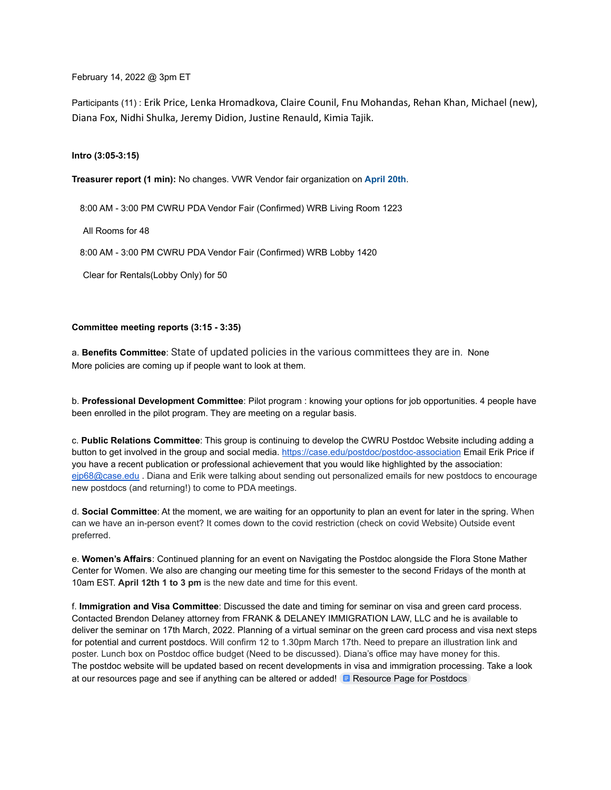February 14, 2022 @ 3pm ET

Participants (11) : Erik Price, Lenka Hromadkova, Claire Counil, Fnu Mohandas, Rehan Khan, Michael (new), Diana Fox, Nidhi Shulka, Jeremy Didion, Justine Renauld, Kimia Tajik.

**Intro (3:05-3:15)**

**Treasurer report (1 min):** No changes. VWR Vendor fair organization on **April 20th**.

8:00 AM - 3:00 PM CWRU PDA Vendor Fair (Confirmed) WRB Living Room 1223

All Rooms for 48

8:00 AM - 3:00 PM CWRU PDA Vendor Fair (Confirmed) WRB Lobby 1420

Clear for Rentals(Lobby Only) for 50

## **Committee meeting reports (3:15 - 3:35)**

a. **Benefits Committee**: State of updated policies in the various committees they are in. None More policies are coming up if people want to look at them.

b. **Professional Development Committee**: Pilot program : knowing your options for job opportunities. 4 people have been enrolled in the pilot program. They are meeting on a regular basis.

c. **Public Relations Committee**: This group is continuing to develop the CWRU Postdoc Website including adding a button to get involved in the group and social media. <https://case.edu/postdoc/postdoc-association> Email Erik Price if you have a recent publication or professional achievement that you would like highlighted by the association: [ejp68@case.edu](mailto:ejp68@case.edu) . Diana and Erik were talking about sending out personalized emails for new postdocs to encourage new postdocs (and returning!) to come to PDA meetings.

d. **Social Committee**: At the moment, we are waiting for an opportunity to plan an event for later in the spring. When can we have an in-person event? It comes down to the covid restriction (check on covid Website) Outside event preferred.

e. **Women's Affairs**: Continued planning for an event on Navigating the Postdoc alongside the Flora Stone Mather Center for Women. We also are changing our meeting time for this semester to the second Fridays of the month at 10am EST. **April 12th 1 to 3 pm** is the new date and time for this event.

f. **Immigration and Visa Committee**: Discussed the date and timing for seminar on visa and green card process. Contacted Brendon Delaney attorney from FRANK & DELANEY IMMIGRATION LAW, LLC and he is available to deliver the seminar on 17th March, 2022. Planning of a virtual seminar on the green card process and visa next steps for potential and current postdocs. Will confirm 12 to 1.30pm March 17th. Need to prepare an illustration link and poster. Lunch box on Postdoc office budget (Need to be discussed). Diana's office may have money for this. The postdoc website will be updated based on recent developments in visa and immigration processing. Take a look at our resources page and see if anything can be altered or added!  $\Box$  [Resource Page for Postdocs](https://docs.google.com/document/d/1dO36CQkqFIXQ6youQ6HTIF9nM3v2BoFtFQyZxBPI-Bs/edit?usp=sharing)